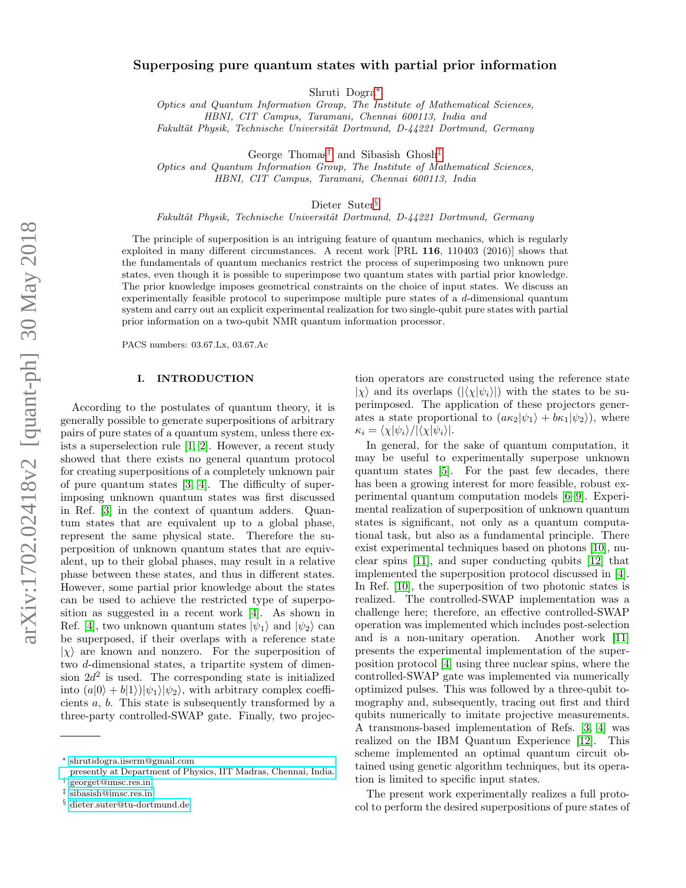# Superposing pure quantum states with partial prior information

Shruti Dogra[∗](#page-0-0)

Optics and Quantum Information Group, The Institute of Mathematical Sciences, HBNI, CIT Campus, Taramani, Chennai 600113, India and Fakultät Physik, Technische Universität Dortmund, D-44221 Dortmund, Germany

George Thomas[†](#page-0-1) and Sibasish Ghosh[‡](#page-0-2)

Optics and Quantum Information Group, The Institute of Mathematical Sciences, HBNI, CIT Campus, Taramani, Chennai 600113, India

Dieter Suter<sup>[§](#page-0-3)</sup>

Fakultät Physik, Technische Universität Dortmund, D-44221 Dortmund, Germany

The principle of superposition is an intriguing feature of quantum mechanics, which is regularly exploited in many different circumstances. A recent work [PRL 116, 110403 (2016)] shows that the fundamentals of quantum mechanics restrict the process of superimposing two unknown pure states, even though it is possible to superimpose two quantum states with partial prior knowledge. The prior knowledge imposes geometrical constraints on the choice of input states. We discuss an experimentally feasible protocol to superimpose multiple pure states of a d-dimensional quantum system and carry out an explicit experimental realization for two single-qubit pure states with partial prior information on a two-qubit NMR quantum information processor.

PACS numbers: 03.67.Lx, 03.67.Ac

## I. INTRODUCTION

According to the postulates of quantum theory, it is generally possible to generate superpositions of arbitrary pairs of pure states of a quantum system, unless there exists a superselection rule [\[1,](#page-6-0) [2\]](#page-6-1). However, a recent study showed that there exists no general quantum protocol for creating superpositions of a completely unknown pair of pure quantum states [\[3,](#page-6-2) [4\]](#page-6-3). The difficulty of superimposing unknown quantum states was first discussed in Ref. [\[3\]](#page-6-2) in the context of quantum adders. Quantum states that are equivalent up to a global phase, represent the same physical state. Therefore the superposition of unknown quantum states that are equivalent, up to their global phases, may result in a relative phase between these states, and thus in different states. However, some partial prior knowledge about the states can be used to achieve the restricted type of superposition as suggested in a recent work [\[4\]](#page-6-3). As shown in Ref. [\[4\]](#page-6-3), two unknown quantum states  $|\psi_1\rangle$  and  $|\psi_2\rangle$  can be superposed, if their overlaps with a reference state  $|\chi\rangle$  are known and nonzero. For the superposition of two d-dimensional states, a tripartite system of dimension  $2d^2$  is used. The corresponding state is initialized into  $(a|0\rangle + b|1\rangle)|\psi_1\rangle|\psi_2\rangle$ , with arbitrary complex coefficients a, b. This state is subsequently transformed by a three-party controlled-SWAP gate. Finally, two projec-

tion operators are constructed using the reference state  $|\chi\rangle$  and its overlaps  $(|\langle \chi | \psi_i \rangle|)$  with the states to be superimposed. The application of these projectors generates a state proportional to  $(a\kappa_2|\psi_1\rangle + b\kappa_1|\psi_2\rangle)$ , where  $\kappa_i = \langle \chi | \psi_i \rangle / |\langle \chi | \psi_i \rangle|.$ 

In general, for the sake of quantum computation, it may be useful to experimentally superpose unknown quantum states [\[5\]](#page-6-4). For the past few decades, there has been a growing interest for more feasible, robust experimental quantum computation models [\[6](#page-6-5)[–9\]](#page-6-6). Experimental realization of superposition of unknown quantum states is significant, not only as a quantum computational task, but also as a fundamental principle. There exist experimental techniques based on photons [\[10\]](#page-6-7), nuclear spins [\[11\]](#page-6-8), and super conducting qubits [\[12\]](#page-6-9) that implemented the superposition protocol discussed in [\[4\]](#page-6-3). In Ref. [\[10\]](#page-6-7), the superposition of two photonic states is realized. The controlled-SWAP implementation was a challenge here; therefore, an effective controlled-SWAP operation was implemented which includes post-selection and is a non-unitary operation. Another work [\[11\]](#page-6-8) presents the experimental implementation of the superposition protocol [\[4\]](#page-6-3) using three nuclear spins, where the controlled-SWAP gate was implemented via numerically optimized pulses. This was followed by a three-qubit tomography and, subsequently, tracing out first and third qubits numerically to imitate projective measurements. A transmons-based implementation of Refs. [\[3,](#page-6-2) [4\]](#page-6-3) was realized on the IBM Quantum Experience [\[12\]](#page-6-9). This scheme implemented an optimal quantum circuit obtained using genetic algorithm techniques, but its operation is limited to specific input states.

The present work experimentally realizes a full protocol to perform the desired superpositions of pure states of

<span id="page-0-0"></span><sup>∗</sup> [shrutidogra.iiserm@gmail.com](mailto:shrutidogra.iiserm@gmail.com \ presently at Department of Physics, IIT Madras, Chennai, India.)

<span id="page-0-1"></span>[presently at Department of Physics, IIT Madras, Chennai, India.](mailto:shrutidogra.iiserm@gmail.com \ presently at Department of Physics, IIT Madras, Chennai, India.) † [georget@imsc.res.in](mailto:georget@imsc.res.in)

<span id="page-0-2"></span><sup>‡</sup> [sibasish@imsc.res.in](mailto:sibasish@imsc.res.in)

<span id="page-0-3"></span>

<sup>§</sup> [dieter.suter@tu-dortmund.de](mailto:dieter.suter@tu-dortmund.de)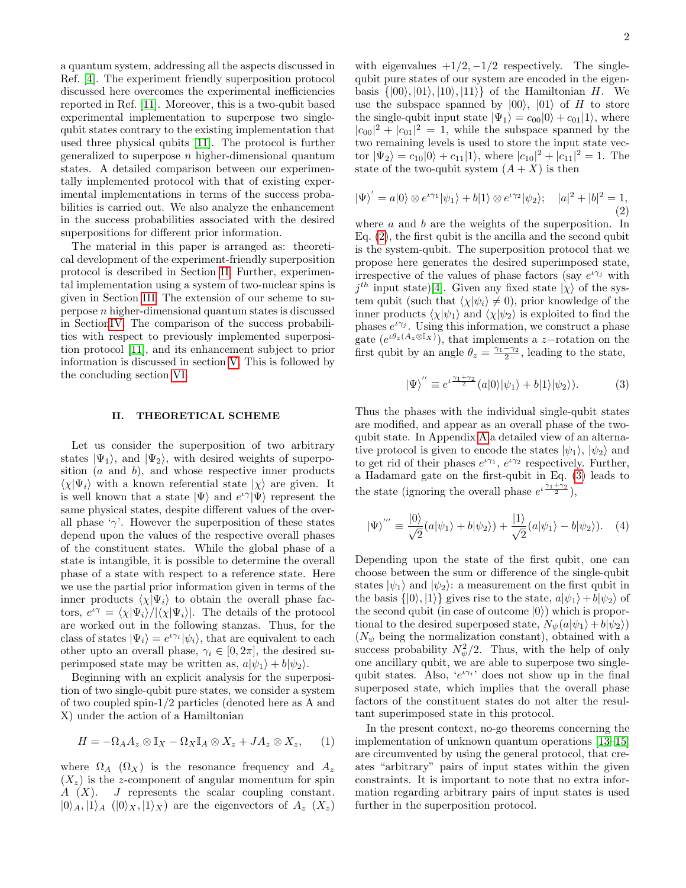a quantum system, addressing all the aspects discussed in Ref. [\[4\]](#page-6-3). The experiment friendly superposition protocol discussed here overcomes the experimental inefficiencies reported in Ref. [\[11\]](#page-6-8). Moreover, this is a two-qubit based experimental implementation to superpose two singlequbit states contrary to the existing implementation that used three physical qubits [\[11\]](#page-6-8). The protocol is further generalized to superpose  $n$  higher-dimensional quantum states. A detailed comparison between our experimentally implemented protocol with that of existing experimental implementations in terms of the success probabilities is carried out. We also analyze the enhancement in the success probabilities associated with the desired superpositions for different prior information.

The material in this paper is arranged as: theoretical development of the experiment-friendly superposition protocol is described in Section [II.](#page-1-0) Further, experimental implementation using a system of two-nuclear spins is given in Section [III.](#page-2-0) The extension of our scheme to superpose  $n$  higher-dimensional quantum states is discussed in Sectio[nIV.](#page-3-0) The comparison of the success probabilities with respect to previously implemented superposition protocol [\[11\]](#page-6-8), and its enhancement subject to prior information is discussed in section [V.](#page-4-0) This is followed by the concluding section [VI.](#page-5-0)

#### <span id="page-1-0"></span>II. THEORETICAL SCHEME

Let us consider the superposition of two arbitrary states  $|\Psi_1\rangle$ , and  $|\Psi_2\rangle$ , with desired weights of superposition  $(a \text{ and } b)$ , and whose respective inner products  $\langle \chi | \Psi_i \rangle$  with a known referential state  $| \chi \rangle$  are given. It is well known that a state  $|\Psi\rangle$  and  $e^{i\gamma}|\Psi\rangle$  represent the same physical states, despite different values of the overall phase ' $\gamma$ '. However the superposition of these states depend upon the values of the respective overall phases of the constituent states. While the global phase of a state is intangible, it is possible to determine the overall phase of a state with respect to a reference state. Here we use the partial prior information given in terms of the inner products  $\langle \chi | \Psi_i \rangle$  to obtain the overall phase factors,  $e^{i\gamma} = \langle \chi | \Psi_i \rangle / |\langle \chi | \Psi_i \rangle|$ . The details of the protocol are worked out in the following stanzas. Thus, for the class of states  $|\Psi_i\rangle = e^{\iota \gamma_i} |\psi_i\rangle$ , that are equivalent to each other upto an overall phase,  $\gamma_i \in [0, 2\pi]$ , the desired superimposed state may be written as,  $a|\psi_1\rangle + b|\psi_2\rangle$ .

Beginning with an explicit analysis for the superposition of two single-qubit pure states, we consider a system of two coupled spin-1/2 particles (denoted here as A and X) under the action of a Hamiltonian

$$
H = -\Omega_A A_z \otimes \mathbb{I}_X - \Omega_X \mathbb{I}_A \otimes X_z + JA_z \otimes X_z, \qquad (1)
$$

where  $\Omega_A$  ( $\Omega_X$ ) is the resonance frequency and  $A_z$  $(X_z)$  is the z-component of angular momentum for spin A (X). J represents the scalar coupling constant.  $|0\rangle_A, |1\rangle_A, |0\rangle_X, |1\rangle_X$  are the eigenvectors of  $A_z$   $(X_z)$ 

with eigenvalues  $+1/2, -1/2$  respectively. The singlequbit pure states of our system are encoded in the eigenbasis  $\{|00\rangle, |01\rangle, |10\rangle, |11\rangle\}$  of the Hamiltonian H. We use the subspace spanned by  $|00\rangle$ ,  $|01\rangle$  of H to store the single-qubit input state  $|\Psi_1\rangle = c_{00}|0\rangle + c_{01}|1\rangle$ , where  $|c_{00}|^2 + |c_{01}|^2 = 1$ , while the subspace spanned by the two remaining levels is used to store the input state vector  $|\Psi_2\rangle = c_{10}|0\rangle + c_{11}|1\rangle$ , where  $|c_{10}|^2 + |c_{11}|^2 = 1$ . The state of the two-qubit system  $(A + X)$  is then

<span id="page-1-1"></span>
$$
|\Psi\rangle' = a|0\rangle \otimes e^{\iota\gamma_1}|\psi_1\rangle + b|1\rangle \otimes e^{\iota\gamma_2}|\psi_2\rangle; \quad |a|^2 + |b|^2 = 1,
$$
\n(2)

where  $a$  and  $b$  are the weights of the superposition. In Eq. [\(2\)](#page-1-1), the first qubit is the ancilla and the second qubit is the system-qubit. The superposition protocol that we propose here generates the desired superimposed state, irrespective of the values of phase factors (say  $e^{i\gamma_j}$  with  $j^{th}$  input state)[\[4\]](#page-6-3). Given any fixed state  $|\chi\rangle$  of the system qubit (such that  $\langle \chi | \psi_i \rangle \neq 0$ ), prior knowledge of the inner products  $\langle \chi | \psi_1 \rangle$  and  $\langle \chi | \psi_2 \rangle$  is exploited to find the phases  $e^{i\gamma_j}$ . Using this information, we construct a phase gate  $(e^{i\theta_z(A_z\otimes \mathbb{I}_X)})$ , that implements a z-rotation on the first qubit by an angle  $\theta_z = \frac{\gamma_1 - \gamma_2}{2}$ , leading to the state,

<span id="page-1-2"></span>
$$
|\Psi\rangle'' \equiv e^{\iota \frac{\gamma_1 + \gamma_2}{2}} (a|0\rangle |\psi_1\rangle + b|1\rangle |\psi_2\rangle). \tag{3}
$$

Thus the phases with the individual single-qubit states are modified, and appear as an overall phase of the twoqubit state. In Appendix [A](#page-6-10) a detailed view of an alternative protocol is given to encode the states  $|\psi_1\rangle$ ,  $|\psi_2\rangle$  and to get rid of their phases  $e^{i\gamma_1}$ ,  $e^{i\gamma_2}$  respectively. Further, a Hadamard gate on the first-qubit in Eq. [\(3\)](#page-1-2) leads to the state (ignoring the overall phase  $e^{i\frac{\gamma_1+\gamma_2}{2}}$ ),

<span id="page-1-3"></span>
$$
|\Psi\rangle''' \equiv \frac{|0\rangle}{\sqrt{2}} (a|\psi_1\rangle + b|\psi_2\rangle) + \frac{|1\rangle}{\sqrt{2}} (a|\psi_1\rangle - b|\psi_2\rangle). \quad (4)
$$

Depending upon the state of the first qubit, one can choose between the sum or difference of the single-qubit states  $|\psi_1\rangle$  and  $|\psi_2\rangle$ : a measurement on the first qubit in the basis  $\{|0\rangle, |1\rangle\}$  gives rise to the state,  $a|\psi_1\rangle+b|\psi_2\rangle$  of the second qubit (in case of outcome  $|0\rangle$ ) which is proportional to the desired superposed state,  $N_{\psi}(a|\psi_1\rangle+b|\psi_2\rangle)$  $(N_{\psi}$  being the normalization constant), obtained with a success probability  $N_{\psi}^2/2$ . Thus, with the help of only one ancillary qubit, we are able to superpose two singlequbit states. Also, ' $e^{i\gamma_i}$ ' does not show up in the final superposed state, which implies that the overall phase factors of the constituent states do not alter the resultant superimposed state in this protocol.

In the present context, no-go theorems concerning the implementation of unknown quantum operations [\[13](#page-6-11)[–15\]](#page-6-12) are circumvented by using the general protocol, that creates "arbitrary" pairs of input states within the given constraints. It is important to note that no extra information regarding arbitrary pairs of input states is used further in the superposition protocol.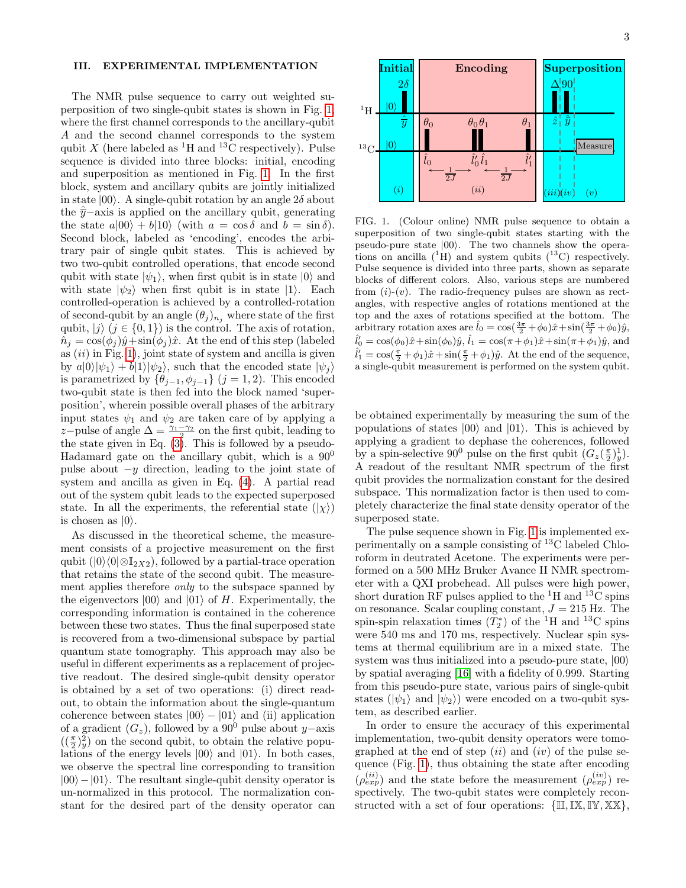# <span id="page-2-0"></span>III. EXPERIMENTAL IMPLEMENTATION

The NMR pulse sequence to carry out weighted superposition of two single-qubit states is shown in Fig. [1,](#page-2-1) where the first channel corresponds to the ancillary-qubit A and the second channel corresponds to the system qubit X (here labeled as <sup>1</sup>H and <sup>13</sup>C respectively). Pulse sequence is divided into three blocks: initial, encoding and superposition as mentioned in Fig. [1.](#page-2-1) In the first block, system and ancillary qubits are jointly initialized in state  $|00\rangle$ . A single-qubit rotation by an angle  $2\delta$  about the  $\bar{y}-a$ xis is applied on the ancillary qubit, generating the state  $a|00\rangle + b|10\rangle$  (with  $a = \cos \delta$  and  $b = \sin \delta$ ). Second block, labeled as 'encoding', encodes the arbitrary pair of single qubit states. This is achieved by two two-qubit controlled operations, that encode second qubit with state  $|\psi_1\rangle$ , when first qubit is in state  $|0\rangle$  and with state  $|\psi_2\rangle$  when first qubit is in state  $|1\rangle$ . Each controlled-operation is achieved by a controlled-rotation of second-qubit by an angle  $(\theta_j)_{n_j}$  where state of the first qubit,  $|j\rangle$   $(j \in \{0, 1\})$  is the control. The axis of rotation,  $\hat{n}_j = \cos(\phi_j)\hat{y} + \sin(\phi_j)\hat{x}$ . At the end of this step (labeled as  $(ii)$  in Fig. [1\)](#page-2-1), joint state of system and ancilla is given by  $a|0\rangle|\psi_1\rangle + b|1\rangle|\psi_2\rangle$ , such that the encoded state  $|\psi_i\rangle$ is parametrized by  $\{\theta_{j-1}, \phi_{j-1}\}$   $(j = 1, 2)$ . This encoded two-qubit state is then fed into the block named 'superposition', wherein possible overall phases of the arbitrary input states  $\psi_1$  and  $\psi_2$  are taken care of by applying a z-pulse of angle  $\Delta = \frac{\gamma_1 - \gamma_2}{2}$  on the first qubit, leading to the state given in Eq. [\(3\)](#page-1-2). This is followed by a pseudo-Hadamard gate on the ancillary qubit, which is a  $90^0$ pulse about  $-y$  direction, leading to the joint state of system and ancilla as given in Eq. [\(4\)](#page-1-3). A partial read out of the system qubit leads to the expected superposed state. In all the experiments, the referential state  $(|\chi\rangle)$ is chosen as  $|0\rangle$ . where the first channel corresponds to the arceliary-qubit  $X$  (here has density operator is a standard part of the density of the most operator is a standard part of the density operator is a standard superposition as me

As discussed in the theoretical scheme, the measurement consists of a projective measurement on the first qubit  $(|0\rangle\langle0|\otimes\mathbb{I}_{2X2})$ , followed by a partial-trace operation that retains the state of the second qubit. The measurement applies therefore only to the subspace spanned by the eigenvectors  $|00\rangle$  and  $|01\rangle$  of H. Experimentally, the corresponding information is contained in the coherence between these two states. Thus the final superposed state is recovered from a two-dimensional subspace by partial quantum state tomography. This approach may also be useful in different experiments as a replacement of projective readout. The desired single-qubit density operator is obtained by a set of two operations: (i) direct readout, to obtain the information about the single-quantum coherence between states  $|00\rangle - |01\rangle$  and (ii) application of a gradient  $(G_z)$ , followed by a 90<sup>0</sup> pulse about y−axis  $((\frac{\pi}{2})_y^2)$  on the second qubit, to obtain the relative populations of the energy levels  $|00\rangle$  and  $|01\rangle$ . In both cases, we observe the spectral line corresponding to transition  $|00\rangle-|01\rangle$ . The resultant single-qubit density operator is un-normalized in this protocol. The normalization con-



<span id="page-2-1"></span>FIG. 1. (Colour online) NMR pulse sequence to obtain a superposition of two single-qubit states starting with the pseudo-pure state  $|00\rangle$ . The two channels show the operations on ancilla  $({}^{1}H)$  and system qubits  $({}^{13}C)$  respectively. Pulse sequence is divided into three parts, shown as separate blocks of different colors. Also, various steps are numbered from  $(i)-(v)$ . The radio-frequency pulses are shown as rectangles, with respective angles of rotations mentioned at the top and the axes of rotations specified at the bottom. The arbitrary rotation axes are  $\hat{l}_0 = \cos(\frac{3\pi}{2} + \phi_0)\hat{x} + \sin(\frac{3\pi}{2} + \phi_0)\hat{y}$ ,  $\hat{l}'_0 = \cos(\phi_0)\hat{x} + \sin(\phi_0)\hat{y}, \hat{l}_1 = \cos(\pi + \phi_1)\hat{x} + \sin(\pi + \phi_1)\hat{y}$ , and  $\hat{l}'_1 = \cos(\frac{\pi}{2} + \phi_1)\hat{x} + \sin(\frac{\pi}{2} + \phi_1)\hat{y}$ . At the end of the sequence, a single-qubit measurement is performed on the system qubit.

be obtained experimentally by measuring the sum of the populations of states  $|00\rangle$  and  $|01\rangle$ . This is achieved by applying a gradient to dephase the coherences, followed by a spin-selective 90<sup>0</sup> pulse on the first qubit  $(G_z(\frac{\pi}{2})_y^1)$ . A readout of the resultant NMR spectrum of the first qubit provides the normalization constant for the desired subspace. This normalization factor is then used to completely characterize the final state density operator of the superposed state.

The pulse sequence shown in Fig. [1](#page-2-1) is implemented experimentally on a sample consisting of <sup>13</sup>C labeled Chloroform in deutrated Acetone. The experiments were performed on a 500 MHz Bruker Avance II NMR spectrometer with a QXI probehead. All pulses were high power, short duration RF pulses applied to the  ${}^{1}$ H and  ${}^{13}$ C spins on resonance. Scalar coupling constant,  $J = 215$  Hz. The spin-spin relaxation times  $(T_2^*)$  of the <sup>1</sup>H and <sup>13</sup>C spins were 540 ms and 170 ms, respectively. Nuclear spin systems at thermal equilibrium are in a mixed state. The system was thus initialized into a pseudo-pure state,  $|00\rangle$ by spatial averaging [\[16\]](#page-6-13) with a fidelity of 0.999. Starting from this pseudo-pure state, various pairs of single-qubit states ( $|\psi_1\rangle$  and  $|\psi_2\rangle$ ) were encoded on a two-qubit system, as described earlier.

In order to ensure the accuracy of this experimental implementation, two-qubit density operators were tomographed at the end of step  $(ii)$  and  $(iv)$  of the pulse sequence (Fig. [1\)](#page-2-1), thus obtaining the state after encoding  $(\rho_{exp}^{(ii)})$  and the state before the measurement  $(\rho_{exp}^{(iv)})$  respectively. The two-qubit states were completely reconstructed with a set of four operations:  $\{\mathbb{I}, \mathbb{I}\mathbb{X}, \mathbb{I}\mathbb{Y}, \mathbb{X}\mathbb{X}\},$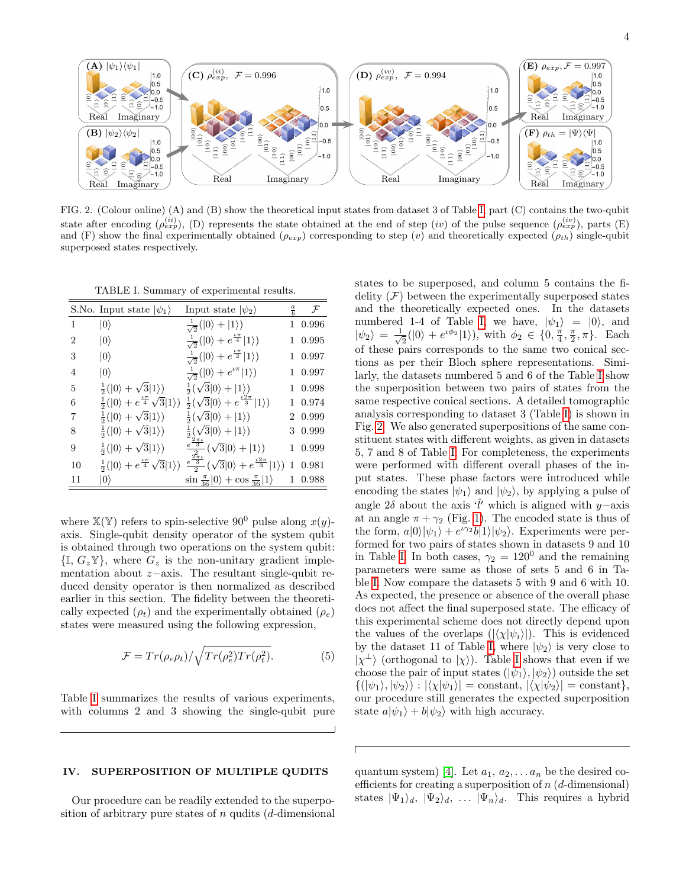

<span id="page-3-2"></span>FIG. 2. (Colour online) (A) and (B) show the theoretical input states from dataset 3 of Table [I,](#page-3-1) part (C) contains the two-qubit state after encoding  $(\rho_{exp}^{(ii)}),$  (D) represents the state obtained at the end of step  $(iv)$  of the pulse sequence  $(\rho_{exp}^{(iv)})$ , parts (E) and (F) show the final experimentally obtained ( $\rho_{exp}$ ) corresponding to step (v) and theoretically expected ( $\rho_{th}$ ) single-qubit superposed states respectively.

<span id="page-3-1"></span>TABLE I. Summary of experimental results.

|    | S.No. Input state $ \psi_1\rangle$                             | Input state $ \psi_2\rangle$                                                                        | $\frac{a}{b}$ | $\mathcal{F}$ |
|----|----------------------------------------------------------------|-----------------------------------------------------------------------------------------------------|---------------|---------------|
| 1  | $ 0\rangle$                                                    | $\frac{1}{\sqrt{2}}( 0\rangle+ 1\rangle)$                                                           |               | 1 0.996       |
| 2  | $ 0\rangle$                                                    | $\frac{1}{\sqrt{2}}( 0\rangle + e^{\frac{i\pi}{4}} 1\rangle)$                                       |               | 1 0.995       |
| 3  | $ 0\rangle$                                                    | $\frac{1}{\sqrt{2}}( 0\rangle + e^{\frac{i\pi}{2}} 1\rangle)$                                       |               | 1 0.997       |
| 4  | $ 0\rangle$                                                    | $\frac{1}{\sqrt{2}}( 0\rangle + e^{i\pi} 1\rangle)$                                                 |               | 1 0.997       |
| 5  | $\frac{1}{2}( 0\rangle + \sqrt{3} 1\rangle)$                   | $\frac{1}{2}(\sqrt{3} 0\rangle+ 1\rangle)$                                                          |               | 1 0.998       |
| 6  | $\frac{1}{2}( 0\rangle + e^{\frac{t\pi}{4}}\sqrt{3} 1\rangle)$ | $\frac{1}{2}(\sqrt{3} 0\rangle + e^{\frac{t2\pi}{3}} 1\rangle)$                                     |               | 1 0.974       |
| 7  | $\frac{1}{2}( 0\rangle + \sqrt{3} 1\rangle)$                   | $\frac{1}{2}(\sqrt{3} 0\rangle+ 1\rangle)$                                                          |               | 2 0.999       |
| 8  | $\frac{1}{2}( 0\rangle + \sqrt{3} 1\rangle)$                   | $\frac{1}{2}(\sqrt{3} 0\rangle+ 1\rangle)$                                                          |               | 3 0.999       |
| 9  | $\frac{1}{2}( 0\rangle + \sqrt{3} 1\rangle)$                   | $\frac{e^{\frac{2\pi i}{3}}}{2}(\sqrt{3} 0\rangle+ 1\rangle)$                                       |               | 1 0.999       |
| 10 | $\frac{1}{2}( 0\rangle + e^{\frac{t\pi}{4}}\sqrt{3} 1\rangle)$ | $\frac{e^{\frac{Z^{\prime}_{\pi\iota}}{3}}}{2}(\sqrt{3} 0\rangle+e^{\frac{\iota2\pi}{3}} 1\rangle)$ | 1             | 0.981         |
| 11 | $\ket{0}$                                                      | $\sin \frac{\pi}{36}  0\rangle + \cos \frac{\pi}{36}  1\rangle$                                     |               | 0.988         |

where  $\mathbb{X}(\mathbb{Y})$  refers to spin-selective 90<sup>0</sup> pulse along  $x(y)$ axis. Single-qubit density operator of the system qubit is obtained through two operations on the system qubit:  $\{\mathbb{I}, G_z\mathbb{Y}\}\,$ , where  $G_z$  is the non-unitary gradient implementation about z−axis. The resultant single-qubit reduced density operator is then normalized as described earlier in this section. The fidelity between the theoretically expected  $(\rho_t)$  and the experimentally obtained  $(\rho_e)$ states were measured using the following expression,

$$
\mathcal{F} = Tr(\rho_e \rho_t) / \sqrt{Tr(\rho_e^2) Tr(\rho_t^2)}.
$$
 (5)

Table [I](#page-3-1) summarizes the results of various experiments, with columns 2 and 3 showing the single-qubit pure

# <span id="page-3-0"></span>IV. SUPERPOSITION OF MULTIPLE QUDITS

Our procedure can be readily extended to the superposition of arbitrary pure states of  $n$  qudits ( $d$ -dimensional states to be superposed, and column 5 contains the fidelity  $(F)$  between the experimentally superposed states and the theoretically expected ones. In the datasets numbered 1-4 of Table [I,](#page-3-1) we have,  $|\psi_1\rangle = |0\rangle$ , and  $|\psi_2\rangle = \frac{1}{\sqrt{2}}$  $\frac{1}{2}(|0\rangle + e^{i\phi_2}|1\rangle), \text{ with } \phi_2 \in \{0, \frac{\pi}{4}, \frac{\pi}{2}, \pi\}.$  Each of these pairs corresponds to the same two conical sections as per their Bloch sphere representations. Similarly, the datasets numbered 5 and 6 of the Table [I](#page-3-1) show the superposition between two pairs of states from the same respective conical sections. A detailed tomographic analysis corresponding to dataset 3 (Table [I\)](#page-3-1) is shown in Fig. [2.](#page-3-2) We also generated superpositions of the same constituent states with different weights, as given in datasets 5, 7 and 8 of Table [I.](#page-3-1) For completeness, the experiments were performed with different overall phases of the input states. These phase factors were introduced while encoding the states  $|\psi_1\rangle$  and  $|\psi_2\rangle$ , by applying a pulse of angle 2δ about the axis ' $\hat{l}'$ ' which is aligned with y–axis at an angle  $\pi + \gamma_2$  (Fig. [1\)](#page-2-1). The encoded state is thus of the form,  $a|0\rangle |\psi_1\rangle + e^{i\gamma_2}b|1\rangle |\psi_2\rangle$ . Experiments were performed for two pairs of states shown in datasets 9 and 10 in Table [I.](#page-3-1) In both cases,  $\gamma_2 = 120^0$  and the remaining parameters were same as those of sets 5 and 6 in Table [I.](#page-3-1) Now compare the datasets 5 with 9 and 6 with 10. As expected, the presence or absence of the overall phase does not affect the final superposed state. The efficacy of this experimental scheme does not directly depend upon the values of the overlaps  $(|\langle \chi | \psi_i \rangle|)$ . This is evidenced by the dataset 11 of Table [I,](#page-3-1) where  $|\psi_2\rangle$  is very close to  $|\chi^{\perp}\rangle$  (orthogonal to  $|\chi\rangle$ ). Table [I](#page-3-1) shows that even if we choose the pair of input states  $(|\psi_1\rangle, |\psi_2\rangle)$  outside the set  $\{(\ket{\psi_1}, \ket{\psi_2}) : |\langle \chi | \psi_1 \rangle| = \text{constant}, |\langle \chi | \psi_2 \rangle| = \text{constant}\},\$ our procedure still generates the expected superposition state  $a|\psi_1\rangle + b|\psi_2\rangle$  with high accuracy.

quantum system) [\[4\]](#page-6-3). Let  $a_1, a_2, \ldots a_n$  be the desired coefficients for creating a superposition of  $n$  ( $d$ -dimensional) states  $|\Psi_1\rangle_d$ ,  $|\Psi_2\rangle_d$ , ...  $|\Psi_n\rangle_d$ . This requires a hybrid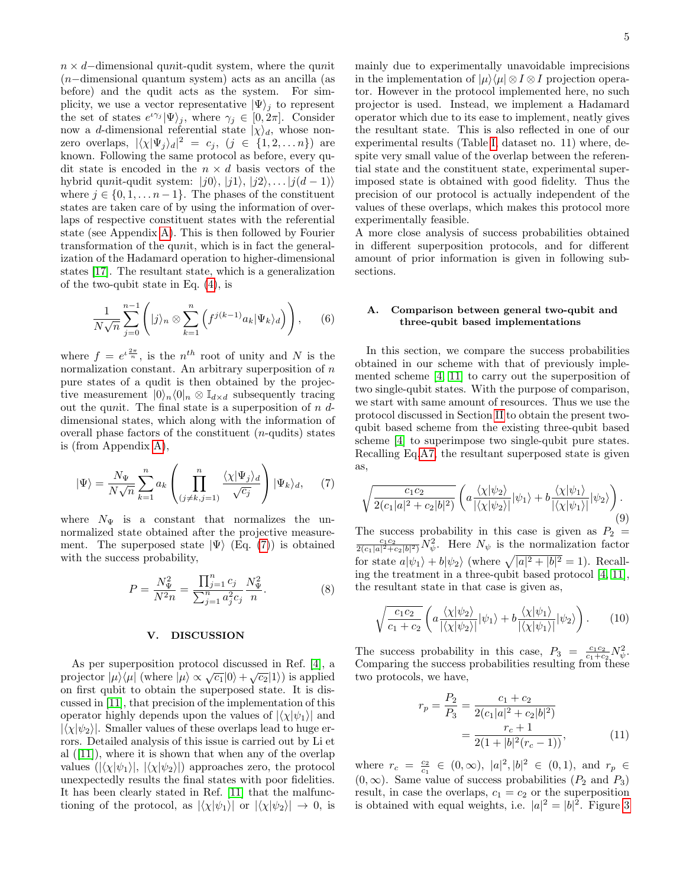$n \times d$ −dimensional qunit-qudit system, where the qunit (n−dimensional quantum system) acts as an ancilla (as before) and the qudit acts as the system. For simplicity, we use a vector representative  $|\Psi\rangle_i$  to represent the set of states  $e^{i\gamma_j} |\Psi\rangle_j$ , where  $\gamma_j \in [0, 2\pi]$ . Consider now a d-dimensional referential state  $|\chi\rangle_d$ , whose nonzero overlaps,  $|\langle \chi | \Psi_j \rangle_d|^2 = c_j$ ,  $(j \in \{1, 2, \ldots n\})$  are known. Following the same protocol as before, every qudit state is encoded in the  $n \times d$  basis vectors of the hybrid qunit-qudit system:  $|j0\rangle$ ,  $|j1\rangle$ ,  $|j2\rangle$ , ...  $|j(d-1)\rangle$ where  $j \in \{0, 1, \ldots n-1\}$ . The phases of the constituent states are taken care of by using the information of overlaps of respective constituent states with the referential state (see Appendix [A\)](#page-6-10). This is then followed by Fourier transformation of the qunit, which is in fact the generalization of the Hadamard operation to higher-dimensional states [\[17\]](#page-6-14). The resultant state, which is a generalization of the two-qubit state in Eq. [\(4\)](#page-1-3), is

$$
\frac{1}{N\sqrt{n}}\sum_{j=0}^{n-1} \left( |j\rangle_n \otimes \sum_{k=1}^n \left( f^{j(k-1)} a_k |\Psi_k\rangle_d \right) \right), \qquad (6)
$$

where  $f = e^{i\frac{2\pi}{n}}$ , is the  $n^{th}$  root of unity and N is the normalization constant. An arbitrary superposition of  $n$ pure states of a qudit is then obtained by the projective measurement  $|0\rangle_n\langle0|_n \otimes \mathbb{I}_{d\times d}$  subsequently tracing out the qunit. The final state is a superposition of  $n d$ dimensional states, which along with the information of overall phase factors of the constituent  $(n$ -qudits) states is (from Appendix [A\)](#page-6-10),

<span id="page-4-1"></span>
$$
|\Psi\rangle = \frac{N_{\Psi}}{N\sqrt{n}} \sum_{k=1}^{n} a_k \left( \prod_{\substack{(j \neq k, j=1)}}^{n} \frac{\langle \chi | \Psi_j \rangle_d}{\sqrt{c_j}} \right) |\Psi_k\rangle_d, \quad (7)
$$

where  $N_{\Psi}$  is a constant that normalizes the unnormalized state obtained after the projective measurement. The superposed state  $|\Psi\rangle$  (Eq. [\(7\)](#page-4-1)) is obtained with the success probability,

$$
P = \frac{N_{\Psi}^2}{N^2 n} = \frac{\prod_{j=1}^n c_j}{\sum_{j=1}^n a_j^2 c_j} \frac{N_{\Psi}^2}{n}.
$$
 (8)

#### <span id="page-4-0"></span>V. DISCUSSION

As per superposition protocol discussed in Ref. [\[4\]](#page-6-3), a projector  $|\mu\rangle\langle\mu|$  (where  $|\mu\rangle \propto \sqrt{c_1}|0\rangle + \sqrt{c_2}|1\rangle$ ) is applied on first qubit to obtain the superposed state. It is discussed in [\[11\]](#page-6-8), that precision of the implementation of this operator highly depends upon the values of  $|\langle \chi | \psi_1 \rangle|$  and  $|\langle \chi | \psi_2 \rangle|$ . Smaller values of these overlaps lead to huge errors. Detailed analysis of this issue is carried out by Li et al  $([11])$  $([11])$  $([11])$ , where it is shown that when any of the overlap values  $(|\langle \chi | \psi_1 \rangle|, |\langle \chi | \psi_2 \rangle|)$  approaches zero, the protocol unexpectedly results the final states with poor fidelities. It has been clearly stated in Ref. [\[11\]](#page-6-8) that the malfunctioning of the protocol, as  $|\langle \chi | \psi_1 \rangle|$  or  $|\langle \chi | \psi_2 \rangle| \to 0$ , is mainly due to experimentally unavoidable imprecisions in the implementation of  $|\mu\rangle\langle\mu| \otimes I \otimes I$  projection operator. However in the protocol implemented here, no such projector is used. Instead, we implement a Hadamard operator which due to its ease to implement, neatly gives the resultant state. This is also reflected in one of our experimental results (Table [I,](#page-3-1) dataset no. 11) where, despite very small value of the overlap between the referential state and the constituent state, experimental superimposed state is obtained with good fidelity. Thus the precision of our protocol is actually independent of the values of these overlaps, which makes this protocol more experimentally feasible.

A more close analysis of success probabilities obtained in different superposition protocols, and for different amount of prior information is given in following subsections.

### A. Comparison between general two-qubit and three-qubit based implementations

In this section, we compare the success probabilities obtained in our scheme with that of previously implemented scheme [\[4,](#page-6-3) [11\]](#page-6-8) to carry out the superposition of two single-qubit states. With the purpose of comparison, we start with same amount of resources. Thus we use the protocol discussed in Section [II](#page-1-0) to obtain the present twoqubit based scheme from the existing three-qubit based scheme [\[4\]](#page-6-3) to superimpose two single-qubit pure states. Recalling Eq[.A7,](#page-6-15) the resultant superposed state is given as,

$$
\sqrt{\frac{c_1c_2}{2(c_1|a|^2+c_2|b|^2)}} \left( a \frac{\langle \chi | \psi_2 \rangle}{|\langle \chi | \psi_2 \rangle|} |\psi_1 \rangle + b \frac{\langle \chi | \psi_1 \rangle}{|\langle \chi | \psi_1 \rangle|} |\psi_2 \rangle \right). \tag{9}
$$

The success probability in this case is given as  $P_2$  =  $\frac{c_1c_2}{2(c_1|a|^2+c_2|b|^2)}N_{\psi}^2$ . Here  $N_{\psi}$  is the normalization factor for state  $a|\psi_1\rangle + b|\psi_2\rangle$  (where  $\sqrt{|a|^2 + |b|^2} = 1$ ). Recalling the treatment in a three-qubit based protocol [\[4,](#page-6-3) [11\]](#page-6-8), the resultant state in that case is given as,

$$
\sqrt{\frac{c_1 c_2}{c_1 + c_2}} \left( a \frac{\langle \chi | \psi_2 \rangle}{|\langle \chi | \psi_2 \rangle|} |\psi_1 \rangle + b \frac{\langle \chi | \psi_1 \rangle}{|\langle \chi | \psi_1 \rangle|} |\psi_2 \rangle \right). \tag{10}
$$

The success probability in this case,  $P_3 = \frac{c_1 c_2}{c_1 + c_2} N_{\psi}^2$ . Comparing the success probabilities resulting from these two protocols, we have,

$$
r_p = \frac{P_2}{P_3} = \frac{c_1 + c_2}{2(c_1|a|^2 + c_2|b|^2)}
$$
  
= 
$$
\frac{r_c + 1}{2(1 + |b|^2(r_c - 1))},
$$
 (11)

where  $r_c = \frac{c_2}{c_1} \in (0, \infty)$ ,  $|a|^2$ ,  $|b|^2 \in (0, 1)$ , and  $r_p \in$  $(0, \infty)$ . Same value of success probabilities  $(P_2 \text{ and } P_3)$ result, in case the overlaps,  $c_1 = c_2$  or the superposition is obtained with equal weights, i.e.  $|a|^2 = |b|^2$ . Figure [3](#page-5-1)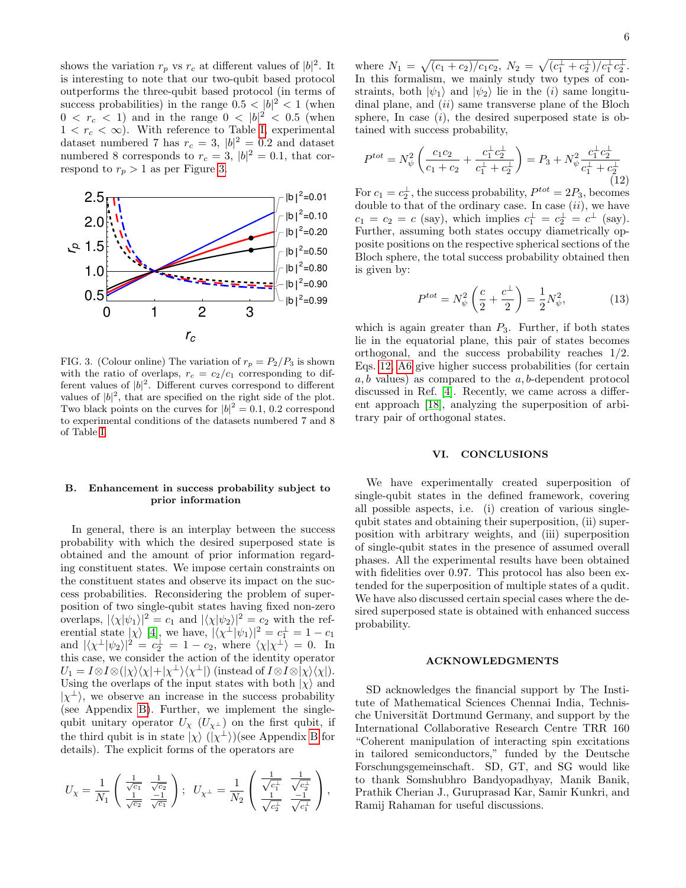shows the variation  $r_p$  vs  $r_c$  at different values of  $|b|^2$ . It is interesting to note that our two-qubit based protocol outperforms the three-qubit based protocol (in terms of success probabilities) in the range  $0.5 < |b|^2 < 1$  (when  $0 \leq r_c \leq 1$ ) and in the range  $0 \leq |b|^2 \leq 0.5$  (when  $1 < r_c < \infty$ ). With reference to Table [I,](#page-3-1) experimental dataset numbered 7 has  $r_c = 3$ ,  $|b|^2 = 0.2$  and dataset numbered 8 corresponds to  $r_c = 3$ ,  $|b|^2 = 0.1$ , that correspond to  $r_p > 1$  as per Figure [3.](#page-5-1)



<span id="page-5-1"></span>FIG. 3. (Colour online) The variation of  $r_p = P_2/P_3$  is shown with the ratio of overlaps,  $r_c = c_2/c_1$  corresponding to different values of  $|b|^2$ . Different curves correspond to different values of  $|b|^2$ , that are specified on the right side of the plot. Two black points on the curves for  $|b|^2 = 0.1$ , 0.2 correspond to experimental conditions of the datasets numbered 7 and 8 of Table [I.](#page-3-1)

# B. Enhancement in success probability subject to prior information

In general, there is an interplay between the success probability with which the desired superposed state is obtained and the amount of prior information regarding constituent states. We impose certain constraints on the constituent states and observe its impact on the success probabilities. Reconsidering the problem of superposition of two single-qubit states having fixed non-zero overlaps,  $|\langle \chi | \psi_1 \rangle|^2 = c_1$  and  $|\langle \chi | \psi_2 \rangle|^2 = c_2$  with the referential state  $|\chi\rangle$  [\[4\]](#page-6-3), we have,  $|\langle \chi^{\perp} | \psi_1 \rangle|^2 = c_1^{\perp} = 1 - c_1$ and  $|\langle \chi^{\perp} | \psi_2 \rangle|^2 = c_2^{\perp} = 1 - c_2$ , where  $\langle \chi | \chi^{\perp} \rangle = 0$ . In this case, we consider the action of the identity operator  $U_1 = I \otimes I \otimes (|\chi\rangle\langle\chi| + |\chi^{\perp}\rangle\langle\chi^{\perp}|)$  (instead of  $I \otimes I \otimes |\chi\rangle\langle\chi|)$ . Using the overlaps of the input states with both  $|\chi\rangle$  and  $|\chi^{\perp}\rangle$ , we observe an increase in the success probability (see Appendix [B\)](#page-7-0). Further, we implement the singlequbit unitary operator  $U_\chi$  ( $U_{\chi^{\perp}}$ ) on the first qubit, if the third qubit is in state  $|\chi\rangle$  ( $|\chi^{\perp}\rangle$ )(see Appendix [B](#page-7-0) for details). The explicit forms of the operators are

$$
U_{\chi} = \frac{1}{N_1}\left(\begin{array}{ccc} \frac{1}{\sqrt{c_1}} & \frac{1}{\sqrt{c_2}} \\ \frac{1}{\sqrt{c_2}} & \frac{-1}{\sqrt{c_1}} \end{array}\right); \ \ U_{\chi^{\perp}} = \frac{1}{N_2}\left(\begin{array}{ccc} \frac{1}{\sqrt{c_1^{\perp}}} & \frac{1}{\sqrt{c_2^{\perp}}} \\ \frac{1}{\sqrt{c_2^{\perp}}} & \frac{-1}{\sqrt{c_1^{\perp}}} \end{array}\right),
$$

where  $N_1 = \sqrt{(c_1 + c_2)/c_1c_2}$ ,  $N_2 = \sqrt{(c_1^{\perp} + c_2^{\perp})/c_1^{\perp}c_2^{\perp}}$ . In this formalism, we mainly study two types of constraints, both  $|\psi_1\rangle$  and  $|\psi_2\rangle$  lie in the *(i)* same longitudinal plane, and  $(ii)$  same transverse plane of the Bloch sphere, In case  $(i)$ , the desired superposed state is obtained with success probability,

<span id="page-5-2"></span>
$$
P^{tot} = N_{\psi}^2 \left( \frac{c_1 c_2}{c_1 + c_2} + \frac{c_1^{\perp} c_2^{\perp}}{c_1^{\perp} + c_2^{\perp}} \right) = P_3 + N_{\psi}^2 \frac{c_1^{\perp} c_2^{\perp}}{c_1^{\perp} + c_2^{\perp}} \tag{12}
$$

For  $c_1 = c_2^{\perp}$ , the success probability,  $P^{tot} = 2P_3$ , becomes double to that of the ordinary case. In case  $(ii)$ , we have  $c_1 = c_2 = c$  (say), which implies  $c_1^{\perp} = c_2^{\perp} = c^{\perp}$  (say). Further, assuming both states occupy diametrically opposite positions on the respective spherical sections of the Bloch sphere, the total success probability obtained then is given by:

$$
P^{tot} = N_{\psi}^2 \left( \frac{c}{2} + \frac{c^{\perp}}{2} \right) = \frac{1}{2} N_{\psi}^2,
$$
 (13)

which is again greater than  $P_3$ . Further, if both states lie in the equatorial plane, this pair of states becomes orthogonal, and the success probability reaches 1/2. Eqs. [12,](#page-5-2) [A6](#page-6-16) give higher success probabilities (for certain  $a, b$  values) as compared to the  $a, b$ -dependent protocol discussed in Ref. [\[4\]](#page-6-3). Recently, we came across a different approach [\[18\]](#page-6-17), analyzing the superposition of arbitrary pair of orthogonal states.

# <span id="page-5-0"></span>VI. CONCLUSIONS

We have experimentally created superposition of single-qubit states in the defined framework, covering all possible aspects, i.e. (i) creation of various singlequbit states and obtaining their superposition, (ii) superposition with arbitrary weights, and (iii) superposition of single-qubit states in the presence of assumed overall phases. All the experimental results have been obtained with fidelities over 0.97. This protocol has also been extended for the superposition of multiple states of a qudit. We have also discussed certain special cases where the desired superposed state is obtained with enhanced success probability.

#### ACKNOWLEDGMENTS

SD acknowledges the financial support by The Institute of Mathematical Sciences Chennai India, Technische Universität Dortmund Germany, and support by the International Collaborative Research Centre TRR 160 "Coherent manipulation of interacting spin excitations in tailored semiconductors," funded by the Deutsche Forschungsgemeinschaft. SD, GT, and SG would like to thank Somshubhro Bandyopadhyay, Manik Banik, Prathik Cherian J., Guruprasad Kar, Samir Kunkri, and Ramij Rahaman for useful discussions.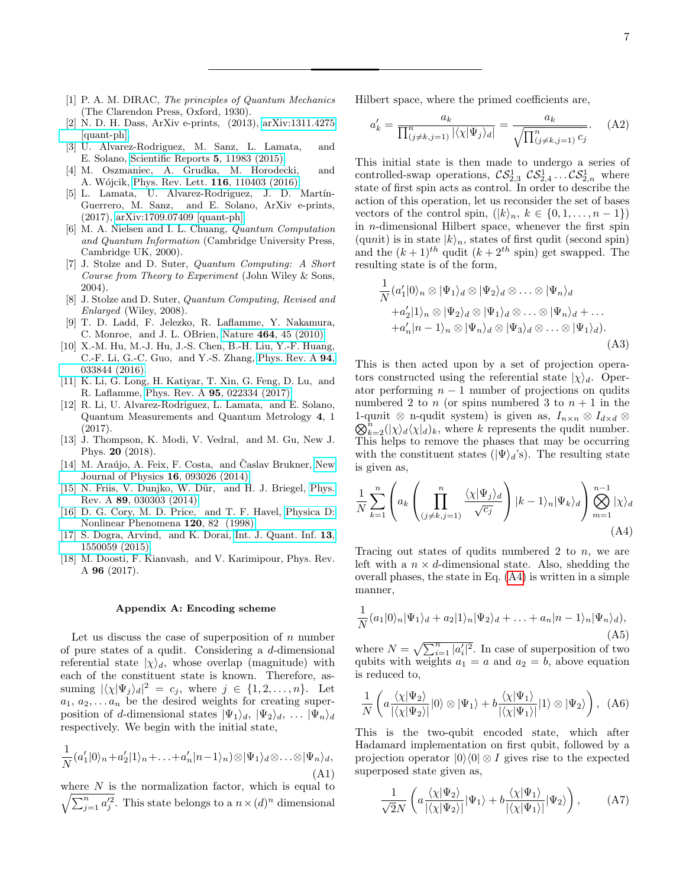- <span id="page-6-0"></span>[1] P. A. M. DIRAC, The principles of Quantum Mechanics (The Clarendon Press, Oxford, 1930).
- <span id="page-6-1"></span>[2] N. D. H. Dass, ArXiv e-prints, (2013), [arXiv:1311.4275](http://arxiv.org/abs/1311.4275) [\[quant-ph\].](http://arxiv.org/abs/1311.4275)
- <span id="page-6-2"></span>[3] U. Alvarez-Rodriguez, M. Sanz, L. Lamata, and E. Solano, [Scientific Reports](http://dx.doi.org/10.1038/srep11983) 5, 11983 (2015).
- <span id="page-6-3"></span>[4] M. Oszmaniec, A. Grudka, M. Horodecki, and A. Wójcik, [Phys. Rev. Lett.](http://dx.doi.org/10.1103/PhysRevLett.116.110403) **116**, 110403 (2016).
- <span id="page-6-4"></span>[5] L. Lamata, U. Alvarez-Rodriguez, J. D. Martín-Guerrero, M. Sanz, and E. Solano, ArXiv e-prints, (2017), [arXiv:1709.07409 \[quant-ph\].](http://arxiv.org/abs/1709.07409)
- <span id="page-6-5"></span>[6] M. A. Nielsen and I. L. Chuang, Quantum Computation and Quantum Information (Cambridge University Press, Cambridge UK, 2000).
- [7] J. Stolze and D. Suter, Quantum Computing: A Short Course from Theory to Experiment (John Wiley & Sons, 2004).
- [8] J. Stolze and D. Suter, Quantum Computing, Revised and Enlarged (Wiley, 2008).
- <span id="page-6-6"></span>[9] T. D. Ladd, F. Jelezko, R. Laflamme, Y. Nakamura, C. Monroe, and J. L. OBrien, Nature 464[, 45 \(2010\).](http://dx.doi.org/10.1038/nature08812)
- <span id="page-6-7"></span>[10] X.-M. Hu, M.-J. Hu, J.-S. Chen, B.-H. Liu, Y.-F. Huang, C.-F. Li, G.-C. Guo, and Y.-S. Zhang, [Phys. Rev. A](http://dx.doi.org/10.1103/PhysRevA.94.033844) 94, [033844 \(2016\).](http://dx.doi.org/10.1103/PhysRevA.94.033844)
- <span id="page-6-8"></span>[11] K. Li, G. Long, H. Katiyar, T. Xin, G. Feng, D. Lu, and R. Laflamme, Phys. Rev. A 95[, 022334 \(2017\).](http://dx.doi.org/10.1103/PhysRevA.95.022334)
- <span id="page-6-9"></span>[12] R. Li, U. Alvarez-Rodriguez, L. Lamata, and E. Solano, Quantum Measurements and Quantum Metrology 4, 1 (2017).
- <span id="page-6-11"></span>[13] J. Thompson, K. Modi, V. Vedral, and M. Gu, New J. Phys. 20 (2018).
- [14] M. Araújo, A. Feix, F. Costa, and Časlav Brukner, [New](http://stacks.iop.org/1367-2630/16/i=9/a=093026) [Journal of Physics](http://stacks.iop.org/1367-2630/16/i=9/a=093026) 16, 093026 (2014).
- <span id="page-6-12"></span>[15] N. Friis, V. Dunjko, W. Dür, and H. J. Briegel, [Phys.](http://dx.doi.org/ 10.1103/PhysRevA.89.030303) Rev. A 89[, 030303 \(2014\).](http://dx.doi.org/ 10.1103/PhysRevA.89.030303)
- <span id="page-6-13"></span>[16] D. G. Cory, M. D. Price, and T. F. Havel, [Physica D:](http://dx.doi.org/http://dx.doi.org/10.1016/S0167-2789(98)00046-3) [Nonlinear Phenomena](http://dx.doi.org/http://dx.doi.org/10.1016/S0167-2789(98)00046-3) 120, 82 (1998).
- <span id="page-6-14"></span>[17] S. Dogra, Arvind, and K. Dorai, [Int. J. Quant. Inf.](http://dx.doi.org/ 10.1142/S0219749915500598) 13, [1550059 \(2015\).](http://dx.doi.org/ 10.1142/S0219749915500598)
- <span id="page-6-17"></span>[18] M. Doosti, F. Kianvash, and V. Karimipour, Phys. Rev. A 96 (2017).

### <span id="page-6-10"></span>Appendix A: Encoding scheme

Let us discuss the case of superposition of  $n$  number of pure states of a qudit. Considering a d-dimensional referential state  $|\chi\rangle_d$ , whose overlap (magnitude) with each of the constituent state is known. Therefore, assuming  $|\langle \chi | \Psi_j \rangle_d|^2 = c_j$ , where  $j \in \{1, 2, ..., n\}$ . Let  $a_1, a_2, \ldots, a_n$  be the desired weights for creating superposition of d-dimensional states  $|\Psi_1\rangle_d$ ,  $|\Psi_2\rangle_d$ , ...  $|\Psi_n\rangle_d$ respectively. We begin with the initial state,

<span id="page-6-19"></span>
$$
\frac{1}{N}(a'_1|0\rangle_n + a'_2|1\rangle_n + \ldots + a'_n|n-1\rangle_n) \otimes |\Psi_1\rangle_d \otimes \ldots \otimes |\Psi_n\rangle_d,
$$
\n(A1)

where  $N$  is the normalization factor, which is equal to  $\sqrt{\sum_{j=1}^n a_j'^2}$ . This state belongs to a  $n \times (d)^n$  dimensional Hilbert space, where the primed coefficients are,

$$
a'_k = \frac{a_k}{\prod_{(j \neq k, j=1)}^n |\langle \chi | \Psi_j \rangle_d|} = \frac{a_k}{\sqrt{\prod_{(j \neq k, j=1)}^n c_j}}.
$$
 (A2)

This initial state is then made to undergo a series of controlled-swap operations,  $\mathcal{CS}_{2,3}^1$   $\mathcal{CS}_{2,4}^1$  ...  $\mathcal{CS}_{2,n}^1$  where state of first spin acts as control. In order to describe the action of this operation, let us reconsider the set of bases vectors of the control spin,  $(|k\rangle_n, k \in \{0, 1, \ldots, n-1\})$ in n-dimensional Hilbert space, whenever the first spin (qunit) is in state  $|k\rangle_n$ , states of first qudit (second spin) and the  $(k+1)^{th}$  qudit  $(k+2^{th}$  spin) get swapped. The resulting state is of the form,

$$
\frac{1}{N} (a'_1 | 0 \rangle_n \otimes |\Psi_1 \rangle_d \otimes |\Psi_2 \rangle_d \otimes \dots \otimes |\Psi_n \rangle_d \n+ a'_2 | 1 \rangle_n \otimes |\Psi_2 \rangle_d \otimes |\Psi_1 \rangle_d \otimes \dots \otimes |\Psi_n \rangle_d + \dots \n+ a'_n | n - 1 \rangle_n \otimes |\Psi_n \rangle_d \otimes |\Psi_3 \rangle_d \otimes \dots \otimes |\Psi_1 \rangle_d).
$$
\n(A3)

This is then acted upon by a set of projection operators constructed using the referential state  $|\chi\rangle_d$ . Operator performing  $n - 1$  number of projections on qudits numbered 2 to n (or spins numbered 3 to  $n + 1$  in the  $\mathcal{Q}_{k=2}^{n}(|\chi\rangle_{d}\langle\chi|_{d})_{k}$ , where k represents the qudit number. 1-qunit ⊗ n-qudit system) is given as,  $I_{n\times n}$  ⊗  $I_{d\times d}$  ⊗ This helps to remove the phases that may be occurring with the constituent states ( $|\Psi\rangle_d$ 's). The resulting state is given as,

<span id="page-6-18"></span>
$$
\frac{1}{N} \sum_{k=1}^{n} \left( a_k \left( \prod_{(j \neq k, j=1)}^{n} \frac{\langle \chi | \Psi_j \rangle_d}{\sqrt{c_j}} \right) |k-1\rangle_n |\Psi_k\rangle_d \right) \bigotimes_{m=1}^{n-1} |\chi\rangle_d
$$
\n(A4)

Tracing out states of qudits numbered 2 to  $n$ , we are left with a  $n \times d$ -dimensional state. Also, shedding the overall phases, the state in Eq. [\(A4\)](#page-6-18) is written in a simple manner,

$$
\frac{1}{N}(a_1|0\rangle_n|\Psi_1\rangle_d + a_2|1\rangle_n|\Psi_2\rangle_d + \ldots + a_n|n-1\rangle_n|\Psi_n\rangle_d),
$$
\n(A5)

where  $N = \sqrt{\sum_{i=1}^{n} |a'_i|^2}$ . In case of superposition of two qubits with weights  $a_1 = a$  and  $a_2 = b$ , above equation is reduced to,

<span id="page-6-16"></span>
$$
\frac{1}{N} \left( a \frac{\langle \chi | \Psi_2 \rangle}{|\langle \chi | \Psi_2 \rangle|} |0\rangle \otimes |\Psi_1\rangle + b \frac{\langle \chi | \Psi_1 \rangle}{|\langle \chi | \Psi_1 \rangle|} |1\rangle \otimes |\Psi_2\rangle \right), \quad (A6)
$$

This is the two-qubit encoded state, which after Hadamard implementation on first qubit, followed by a projection operator  $|0\rangle\langle 0| \otimes I$  gives rise to the expected superposed state given as,

<span id="page-6-15"></span>
$$
\frac{1}{\sqrt{2}N} \left( a \frac{\langle \chi | \Psi_2 \rangle}{|\langle \chi | \Psi_2 \rangle|} | \Psi_1 \rangle + b \frac{\langle \chi | \Psi_1 \rangle}{|\langle \chi | \Psi_1 \rangle|} | \Psi_2 \rangle \right), \tag{A7}
$$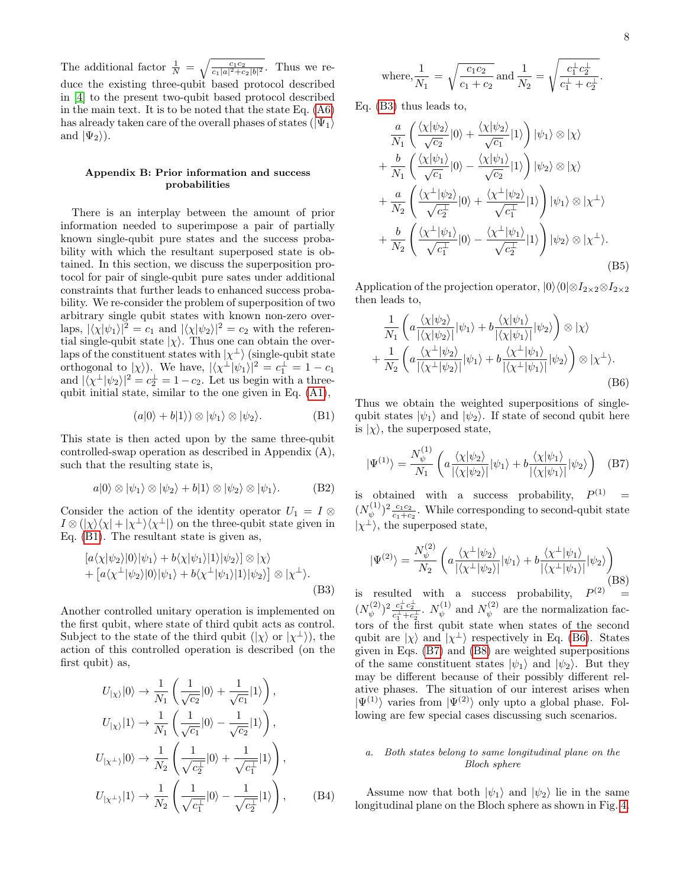The additional factor  $\frac{1}{N} = \sqrt{\frac{c_1 c_2}{c_1 |a|^2 + c_2 |b|^2}}$ . Thus we reduce the existing three-qubit based protocol described in [\[4\]](#page-6-3) to the present two-qubit based protocol described in the main text. It is to be noted that the state Eq. [\(A6\)](#page-6-16) has already taken care of the overall phases of states  $(|\Psi_1\rangle)$ and  $|\Psi_2\rangle$ ).

## <span id="page-7-0"></span>Appendix B: Prior information and success probabilities

There is an interplay between the amount of prior information needed to superimpose a pair of partially known single-qubit pure states and the success probability with which the resultant superposed state is obtained. In this section, we discuss the superposition protocol for pair of single-qubit pure sates under additional constraints that further leads to enhanced success probability. We re-consider the problem of superposition of two arbitrary single qubit states with known non-zero overlaps,  $|\langle \chi | \psi_1 \rangle|^2 = c_1$  and  $|\langle \chi | \psi_2 \rangle|^2 = c_2$  with the referential single-qubit state  $|\chi\rangle$ . Thus one can obtain the overlaps of the constituent states with  $|\chi^{\perp}\rangle$  (single-qubit state orthogonal to  $|\chi\rangle$ ). We have,  $|\langle \chi^{\perp}|\psi_1\rangle|^2 = c_1^{\perp} = 1 - c_1$ and  $|\langle \chi^{\perp} | \psi_2 \rangle|^2 = c_2^{\perp} = 1 - c_2$ . Let us begin with a threequbit initial state, similar to the one given in Eq. [\(A1\)](#page-6-19),

<span id="page-7-1"></span>
$$
(a|0\rangle + b|1\rangle) \otimes |\psi_1\rangle \otimes |\psi_2\rangle.
$$
 (B1)

This state is then acted upon by the same three-qubit controlled-swap operation as described in Appendix (A), such that the resulting state is,

$$
a|0\rangle \otimes |\psi_1\rangle \otimes |\psi_2\rangle + b|1\rangle \otimes |\psi_2\rangle \otimes |\psi_1\rangle. \tag{B2}
$$

Consider the action of the identity operator  $U_1 = I \otimes$  $I \otimes (|\chi\rangle\langle\chi| + |\chi^{\perp}\rangle\langle\chi^{\perp}|)$  on the three-qubit state given in Eq. [\(B1\)](#page-7-1). The resultant state is given as,

<span id="page-7-2"></span>
$$
\begin{aligned} \left[a\langle\chi|\psi_2\rangle|0\rangle|\psi_1\rangle + b\langle\chi|\psi_1\rangle|1\rangle|\psi_2\rangle\right] &\otimes |\chi\rangle \\ &+ \left[a\langle\chi^\perp|\psi_2\rangle|0\rangle|\psi_1\rangle + b\langle\chi^\perp|\psi_1\rangle|1\rangle|\psi_2\rangle\right] \otimes |\chi^\perp\rangle. \end{aligned} \tag{B3}
$$

Another controlled unitary operation is implemented on the first qubit, where state of third qubit acts as control. Subject to the state of the third qubit  $(|\chi\rangle)$  or  $|\chi^{\perp}\rangle$ ), the action of this controlled operation is described (on the first qubit) as,

$$
U_{|\chi\rangle}|0\rangle \rightarrow \frac{1}{N_1} \left( \frac{1}{\sqrt{c_2}} |0\rangle + \frac{1}{\sqrt{c_1}} |1\rangle \right),
$$
  
\n
$$
U_{|\chi\rangle}|1\rangle \rightarrow \frac{1}{N_1} \left( \frac{1}{\sqrt{c_1}} |0\rangle - \frac{1}{\sqrt{c_2}} |1\rangle \right),
$$
  
\n
$$
U_{|\chi^{\perp}\rangle}|0\rangle \rightarrow \frac{1}{N_2} \left( \frac{1}{\sqrt{c_2^{\perp}}} |0\rangle + \frac{1}{\sqrt{c_1^{\perp}}} |1\rangle \right),
$$
  
\n
$$
U_{|\chi^{\perp}\rangle}|1\rangle \rightarrow \frac{1}{N_2} \left( \frac{1}{\sqrt{c_1^{\perp}}} |0\rangle - \frac{1}{\sqrt{c_2^{\perp}}} |1\rangle \right),
$$
 (B4)

.

where, 
$$
\frac{1}{N_1} = \sqrt{\frac{c_1 c_2}{c_1 + c_2}}
$$
 and  $\frac{1}{N_2} = \sqrt{\frac{c_1^{\perp} c_2^{\perp}}{c_1^{\perp} + c_2^{\perp}}}$ 

Eq. [\(B3\)](#page-7-2) thus leads to,

<span id="page-7-6"></span>
$$
\frac{a}{N_1} \left( \frac{\langle \chi | \psi_2 \rangle}{\sqrt{c_2}} |0\rangle + \frac{\langle \chi | \psi_2 \rangle}{\sqrt{c_1}} |1\rangle \right) |\psi_1\rangle \otimes |\chi\rangle \n+ \frac{b}{N_1} \left( \frac{\langle \chi | \psi_1 \rangle}{\sqrt{c_1}} |0\rangle - \frac{\langle \chi | \psi_1 \rangle}{\sqrt{c_2}} |1\rangle \right) |\psi_2\rangle \otimes |\chi\rangle \n+ \frac{a}{N_2} \left( \frac{\langle \chi^{\perp} | \psi_2 \rangle}{\sqrt{c_2^{\perp}}} |0\rangle + \frac{\langle \chi^{\perp} | \psi_2 \rangle}{\sqrt{c_1^{\perp}}} |1\rangle \right) |\psi_1\rangle \otimes |\chi^{\perp}\rangle \n+ \frac{b}{N_2} \left( \frac{\langle \chi^{\perp} | \psi_1 \rangle}{\sqrt{c_1^{\perp}}} |0\rangle - \frac{\langle \chi^{\perp} | \psi_1 \rangle}{\sqrt{c_2^{\perp}}} |1\rangle \right) |\psi_2\rangle \otimes |\chi^{\perp}\rangle.
$$
\n(B5)

Application of the projection operator,  $|0\rangle\langle 0|\otimes I_{2\times2}\otimes I_{2\times2}$ then leads to,

<span id="page-7-3"></span>
$$
\frac{1}{N_1} \left( a \frac{\langle \chi | \psi_2 \rangle}{|\langle \chi | \psi_2 \rangle|} | \psi_1 \rangle + b \frac{\langle \chi | \psi_1 \rangle}{|\langle \chi | \psi_1 \rangle|} | \psi_2 \rangle \right) \otimes |\chi\rangle \n+ \frac{1}{N_2} \left( a \frac{\langle \chi^{\perp} | \psi_2 \rangle}{|\langle \chi^{\perp} | \psi_2 \rangle|} | \psi_1 \rangle + b \frac{\langle \chi^{\perp} | \psi_1 \rangle}{|\langle \chi^{\perp} | \psi_1 \rangle|} | \psi_2 \rangle \right) \otimes |\chi^{\perp}\rangle.
$$
\n(B6)

Thus we obtain the weighted superpositions of singlequbit states  $|\psi_1\rangle$  and  $|\psi_2\rangle$ . If state of second qubit here is  $|\chi\rangle$ , the superposed state,

<span id="page-7-4"></span>
$$
|\Psi^{(1)}\rangle = \frac{N_{\psi}^{(1)}}{N_1} \left( a \frac{\langle \chi | \psi_2 \rangle}{|\langle \chi | \psi_2 \rangle|} |\psi_1\rangle + b \frac{\langle \chi | \psi_1 \rangle}{|\langle \chi | \psi_1 \rangle|} |\psi_2\rangle \right) \quad (B7)
$$

is obtained with a success probability,  $P^{(1)}$  =  $(N_{i b}^{(1)}$  $(\psi^{(1)})^2 \frac{c_1 c_2}{c_1 + c_2}$ . While corresponding to second-qubit state  $|\chi^{\perp}\rangle$ , the superposed state,

<span id="page-7-5"></span>
$$
|\Psi^{(2)}\rangle = \frac{N_{\psi}^{(2)}}{N_2} \left( a \frac{\langle \chi^{\perp} | \psi_2 \rangle}{|\langle \chi^{\perp} | \psi_2 \rangle|} |\psi_1\rangle + b \frac{\langle \chi^{\perp} | \psi_1 \rangle}{|\langle \chi^{\perp} | \psi_1 \rangle|} |\psi_2\rangle \right)
$$
(B8)

is resulted with a success probability,  $P^{(2)}$  =  $(N_{\psi}^{(2)}$  $(v^{(2)})^2 \frac{c_1^{\perp} c_2^{\perp}}{c_1^{\perp} + c_2^{\perp}}$ .  $N_{\psi}^{(1)}$  $\psi^{(1)}$  and  $N_{\psi}^{(2)}$  $\psi^{(2)}$  are the normalization factors of the first qubit state when states of the second qubit are  $|\chi\rangle$  and  $|\chi^{\perp}\rangle$  respectively in Eq. [\(B6\)](#page-7-3). States given in Eqs. [\(B7\)](#page-7-4) and [\(B8\)](#page-7-5) are weighted superpositions of the same constituent states  $|\psi_1\rangle$  and  $|\psi_2\rangle$ . But they may be different because of their possibly different relative phases. The situation of our interest arises when  $|\Psi^{(1)}\rangle$  varies from  $|\Psi^{(2)}\rangle$  only upto a global phase. Following are few special cases discussing such scenarios.

# a. Both states belong to same longitudinal plane on the Bloch sphere

Assume now that both  $|\psi_1\rangle$  and  $|\psi_2\rangle$  lie in the same longitudinal plane on the Bloch sphere as shown in Fig. [4.](#page-8-0)